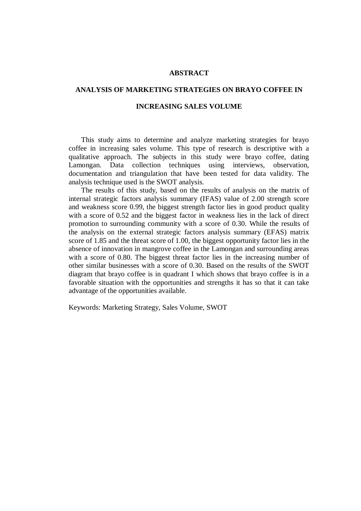### **ABSTRACT**

## **ANALYSIS OF MARKETING STRATEGIES ON BRAYO COFFEE IN**

### **INCREASING SALES VOLUME**

 This study aims to determine and analyze marketing strategies for brayo coffee in increasing sales volume. This type of research is descriptive with a qualitative approach. The subjects in this study were brayo coffee, dating Lamongan. Data collection techniques using interviews, observation, documentation and triangulation that have been tested for data validity. The analysis technique used is the SWOT analysis.

 The results of this study, based on the results of analysis on the matrix of internal strategic factors analysis summary (IFAS) value of 2.00 strength score and weakness score 0.99, the biggest strength factor lies in good product quality with a score of 0.52 and the biggest factor in weakness lies in the lack of direct promotion to surrounding community with a score of 0.30. While the results of the analysis on the external strategic factors analysis summary (EFAS) matrix score of 1.85 and the threat score of 1.00, the biggest opportunity factor lies in the absence of innovation in mangrove coffee in the Lamongan and surrounding areas with a score of 0.80. The biggest threat factor lies in the increasing number of other similar businesses with a score of 0.30. Based on the results of the SWOT diagram that brayo coffee is in quadrant I which shows that brayo coffee is in a favorable situation with the opportunities and strengths it has so that it can take advantage of the opportunities available.

Keywords: Marketing Strategy, Sales Volume, SWOT